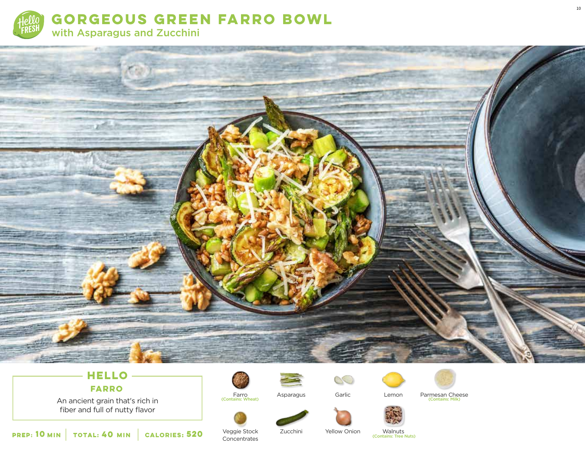



# **HELLO FARRO**

An ancient grain that's rich in fiber and full of nutty flavor











Veggie Stock **Concentrates** 

Farro<br>(Contains: Wheat)

Zucchini

Yellow Onion

Walnuts<br>(Contains: Tree Nuts)

Garlic Parmesan Cheese (Contains: Wheat) (Contains: Milk)

**10** MIN **TOTAL: 40 MIN CALORIES: 520 MIN CALORIES: 100 MIN CALORIES: 520 CONTAINS: Tree Nuts**) **520**

10